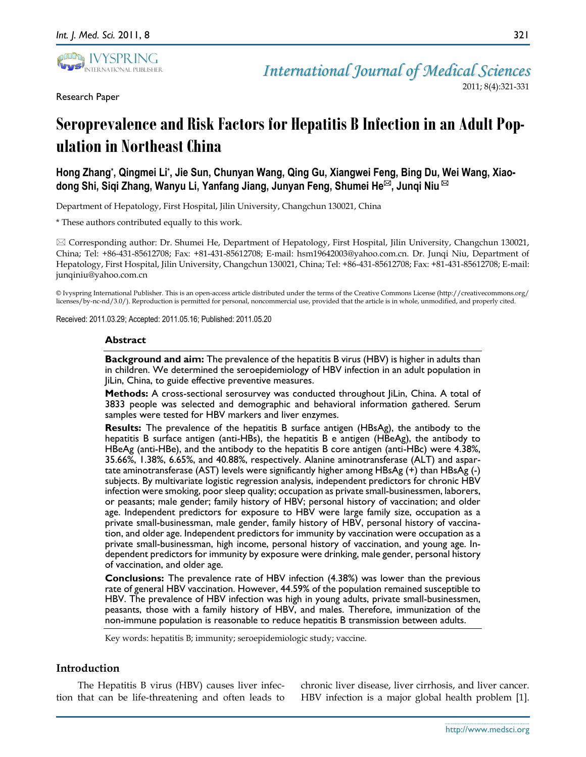

*International Journal of Medical Sciences*

2011; 8(4):321-331

# **Seroprevalence and Risk Factors for Hepatitis B Infection in an Adult Population in Northeast China**

**Hong Zhang\* , Qingmei Li\* , Jie Sun, Chunyan Wang, Qing Gu, Xiangwei Feng, Bing Du, Wei Wang, Xiaodong Shi, Siqi Zhang, Wanyu Li, Yanfang Jiang, Junyan Feng, Shumei He, Junqi Niu**

Department of Hepatology, First Hospital, Jilin University, Changchun 130021, China

\* These authors contributed equally to this work.

 Corresponding author: Dr. Shumei He, Department of Hepatology, First Hospital, Jilin University, Changchun 130021, China; Tel: +86-431-85612708; Fax: +81-431-85612708; E-mail: hsm19642003@yahoo.com.cn. Dr. Junqi Niu, Department of Hepatology, First Hospital, Jilin University, Changchun 130021, China; Tel: +86-431-85612708; Fax: +81-431-85612708; E-mail: junqiniu@yahoo.com.cn

© Ivyspring International Publisher. This is an open-access article distributed under the terms of the Creative Commons License (http://creativecommons.org/ licenses/by-nc-nd/3.0/). Reproduction is permitted for personal, noncommercial use, provided that the article is in whole, unmodified, and properly cited.

Received: 2011.03.29; Accepted: 2011.05.16; Published: 2011.05.20

#### **Abstract**

**Background and aim:** The prevalence of the hepatitis B virus (HBV) is higher in adults than in children. We determined the seroepidemiology of HBV infection in an adult population in JiLin, China, to guide effective preventive measures.

**Methods:** A cross-sectional serosurvey was conducted throughout JiLin, China. A total of 3833 people was selected and demographic and behavioral information gathered. Serum samples were tested for HBV markers and liver enzymes.

**Results:** The prevalence of the hepatitis B surface antigen (HBsAg), the antibody to the hepatitis B surface antigen (anti-HBs), the hepatitis B e antigen (HBeAg), the antibody to HBeAg (anti-HBe), and the antibody to the hepatitis B core antigen (anti-HBc) were 4.38%, 35.66%, 1.38%, 6.65%, and 40.88%, respectively. Alanine aminotransferase (ALT) and aspartate aminotransferase (AST) levels were significantly higher among HBsAg (+) than HBsAg (-) subjects. By multivariate logistic regression analysis, independent predictors for chronic HBV infection were smoking, poor sleep quality; occupation as private small-businessmen, laborers, or peasants; male gender; family history of HBV; personal history of vaccination; and older age. Independent predictors for exposure to HBV were large family size, occupation as a private small-businessman, male gender, family history of HBV, personal history of vaccination, and older age. Independent predictors for immunity by vaccination were occupation as a private small-businessman, high income, personal history of vaccination, and young age. Independent predictors for immunity by exposure were drinking, male gender, personal history of vaccination, and older age.

**Conclusions:** The prevalence rate of HBV infection (4.38%) was lower than the previous rate of general HBV vaccination. However, 44.59% of the population remained susceptible to HBV. The prevalence of HBV infection was high in young adults, private small-businessmen, peasants, those with a family history of HBV, and males. Therefore, immunization of the non-immune population is reasonable to reduce hepatitis B transmission between adults.

Key words: hepatitis B; immunity; seroepidemiologic study; vaccine.

## **Introduction**

The Hepatitis B virus (HBV) causes liver infection that can be life-threatening and often leads to

chronic liver disease, liver cirrhosis, and liver cancer. HBV infection is a major global health problem [1].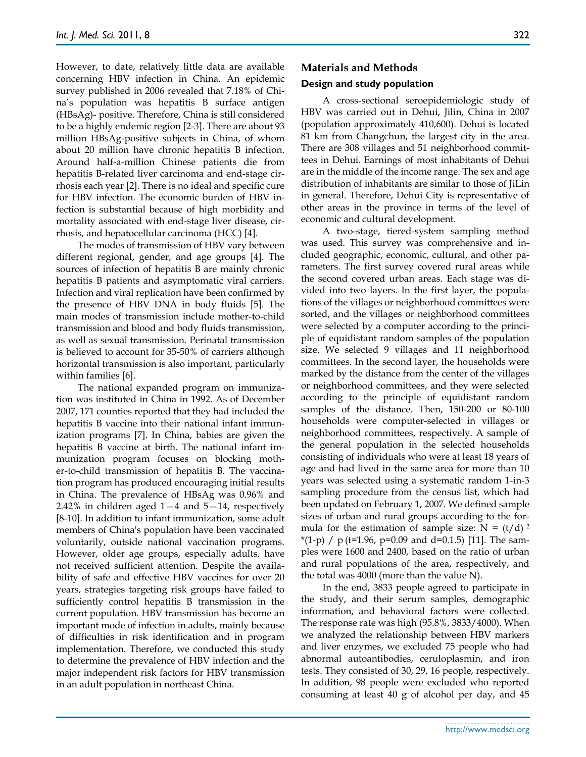However, to date, relatively little data are available concerning HBV infection in China. An epidemic survey published in 2006 revealed that 7.18% of China's population was hepatitis B surface antigen (HBsAg)- positive. Therefore, China is still considered to be a highly endemic region [2-3]. There are about 93 million HBsAg-positive subjects in China, of whom about 20 million have chronic hepatitis B infection. Around half-a-million Chinese patients die from hepatitis B-related liver carcinoma and end-stage cirrhosis each year [2]. There is no ideal and specific cure for HBV infection. The economic burden of HBV infection is substantial because of high morbidity and mortality associated with end-stage liver disease, cirrhosis, an[d hepatocellular carcinoma](http://www.medilexicon.com/?s=hepatocellular+carcinoma) (HCC) [4].

The modes of transmission of HBV vary between different regional, gender, and age groups [4]. The sources of infection of hepatitis B are mainly chronic hepatitis B patients and asymptomatic viral carriers. Infection and viral replication have been confirmed by the presence of HBV DNA in body fluids [5]. The main modes of transmission include mother-to-child transmission and blood and body fluids transmission, as well as sexual transmission. Perinatal transmission is believed to account for 35-50% of carriers although horizontal transmission is also important, particularly within families [6].

The national expanded program on immunization was instituted in China in 1992. As of December 2007, 171 counties reported that they had included the hepatitis B vaccine into their national infant immunization programs [7]. In China, babies are given the hepatitis B vaccine at birth. The national infant immunization program focuses on blocking mother-to-child transmission of hepatitis B. The vaccination program has produced encouraging initial results in China. The prevalence of HBsAg was 0.96% and 2.42% in children aged 1—4 and 5—14, respectively [8-10]. In addition to infant immunization, some adult members of China's population have been vaccinated voluntarily, outside national vaccination programs. However, older age groups, especially adults, have not received sufficient attention. Despite the availability of safe and effective HBV vaccines for over 20 years, strategies targeting risk groups have failed to sufficiently control hepatitis B transmission in the current population. HBV transmission has become an important mode of infection in adults, mainly because of difficulties in risk identification and in program implementation. Therefore, we conducted this study to determine the prevalence of HBV infection and the major independent risk factors for HBV transmission in an adult population in northeast China.

## **Materials and Methods**

## **Design and study population**

A cross-sectional seroepidemiologic study of HBV was carried out in Dehui, Jilin, China in 2007 (population approximately 410,600). Dehui is located 81 km from Changchun, the largest city in the area. There are 308 villages and 51 neighborhood committees in Dehui. Earnings of most inhabitants of Dehui are in the middle of the income range. The sex and age distribution of inhabitants are similar to those of JiLin in general. Therefore, Dehui City is representative of other areas in the province in terms of the level of economic and cultural development.

A two-stage, tiered-system sampling method was used. This survey was comprehensive and included geographic, economic, cultural, and other parameters. The first survey covered rural areas while the second covered urban areas. Each stage was divided into two layers. In the first layer, the populations of the villages or neighborhood committees were sorted, and the villages or neighborhood committees were selected by a computer according to the principle of equidistant random samples of the population size. We selected 9 villages and 11 neighborhood committees. In the second layer, the households were marked by the distance from the center of the villages or neighborhood committees, and they were selected according to the principle of equidistant random samples of the distance. Then, 150-200 or 80-100 households were computer-selected in villages or neighborhood committees, respectively. A sample of the general population in the selected households consisting of individuals who were at least 18 years of age and had lived in the same area for more than 10 years was selected using a systematic random 1-in-3 sampling procedure from the census list, which had been updated on February 1, 2007. We defined sample sizes of urban and rural groups according to the formula for the estimation of sample size:  $N = (t/d)^2$  $*(1-p)$  / p (t=1.96, p=0.09 and d=0.1.5) [11]. The samples were 1600 and 2400, based on the ratio of urban and rural populations of the area, respectively, and the total was 4000 (more than the value N).

In the end, 3833 people agreed to participate in the study, and their serum samples, demographic information, and behavioral factors were collected. The response rate was high (95.8%, 3833/4000). When we analyzed the relationship between HBV markers and liver enzymes, we excluded 75 people who had abnormal autoantibodies, ceruloplasmin, and iron tests. They consisted of 30, 29, 16 people, respectively. In addition, 98 people were excluded who reported consuming at least 40 g of alcohol per day, and 45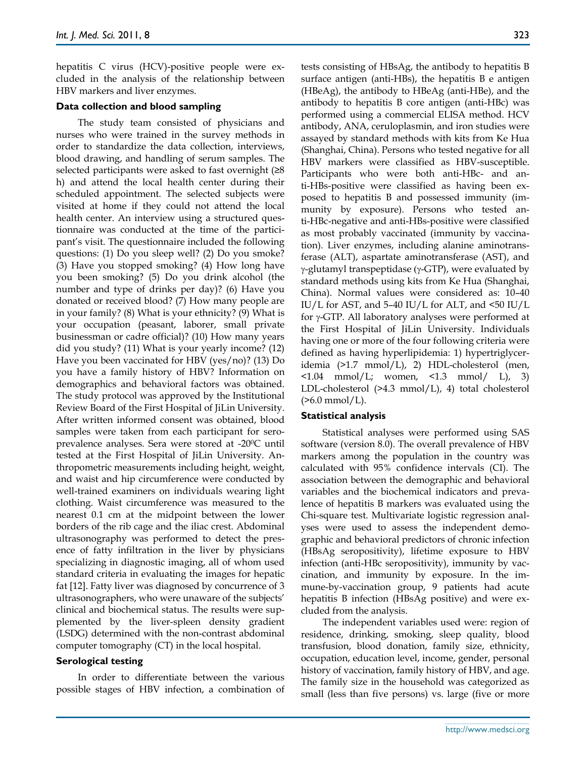hepatitis C virus (HCV)-positive people were excluded in the analysis of the relationship between HBV markers and liver enzymes.

#### **Data collection and blood sampling**

The study team consisted of physicians and nurses who were trained in the survey methods in order to standardize the data collection, interviews, blood drawing, and handling of serum samples. The selected participants were asked to fast overnight  $(≥8)$ h) and attend the local health center during their scheduled appointment. The selected subjects were visited at home if they could not attend the local health center. An interview using a structured questionnaire was conducted at the time of the participant's visit. The questionnaire included the following questions: (1) Do you sleep well? (2) Do you smoke? (3) Have you stopped smoking? (4) How long have you been smoking? (5) Do you drink alcohol (the number and type of drinks per day)? (6) Have you donated or received blood? (7) How many people are in your family? (8) What is your ethnicity? (9) What is your occupation (peasant, laborer, small private businessman or cadre official)? (10) How many years did you study? (11) What is your yearly income? (12) Have you been vaccinated for HBV (yes/no)? (13) Do you have a family history of HBV? Information on demographics and behavioral factors was obtained. The study protocol was approved by the Institutional Review Board of the First Hospital of JiLin University. After written informed consent was obtained, blood samples were taken from each participant for seroprevalence analyses. Sera were stored at -200C until tested at the First Hospital of JiLin University. Anthropometric measurements including height, weight, and waist and hip circumference were conducted by well-trained examiners on individuals wearing light clothing. Waist circumference was measured to the nearest 0.1 cm at the midpoint between the lower borders of the rib cage and the iliac crest. Abdominal ultrasonography was performed to detect the presence of fatty infiltration in the liver by physicians specializing in diagnostic imaging, all of whom used standard criteria in evaluating the images for hepatic fat [12]. Fatty liver was diagnosed by concurrence of 3 ultrasonographers, who were unaware of the subjects' clinical and biochemical status. The results were supplemented by the liver-spleen density gradient (LSDG) determined with the non-contrast abdominal computer tomography (CT) in the local hospital.

#### **Serological testing**

In order to differentiate between the various possible stages of HBV infection, a combination of tests consisting of HBsAg, the antibody to hepatitis B surface antigen (anti-HBs), the hepatitis B e antigen (HBeAg), the antibody to HBeAg (anti-HBe), and the antibody to hepatitis B core antigen (anti-HBc) was performed using a commercial ELISA method. HCV antibody, ANA, ceruloplasmin, and iron studies were assayed by standard methods with kits from Ke Hua (Shanghai, China). Persons who tested negative for all HBV markers were classified as HBV-susceptible. Participants who were both anti-HBc- and anti-HBs-positive were classified as having been exposed to hepatitis B and possessed immunity (immunity by exposure). Persons who tested anti-HBc-negative and anti-HBs-positive were classified as most probably vaccinated (immunity by vaccination). Liver enzymes, including alanine aminotransferase (ALT), aspartate aminotransferase (AST), and  $\gamma$ -glutamyl transpeptidase ( $\gamma$ -GTP), were evaluated by standard methods using kits from Ke Hua (Shanghai, China). Normal values were considered as: 10–40 IU/L for AST, and 5–40 IU/L for ALT, and <50 IU/L for  $\gamma$ -GTP. All laboratory analyses were performed at the First Hospital of JiLin University. Individuals having one or more of the four following criteria were defined as having hyperlipidemia: 1) hypertriglyceridemia (>1.7 mmol/L), 2) HDL-cholesterol (men,  $\langle 1.04 \, \text{mmol/L}$ ; women,  $\langle 1.3 \, \text{mmol} / \, \text{L} \rangle$ , 3) LDL-cholesterol (>4.3 mmol/L), 4) total cholesterol  $($ >6.0 mmol/L).

#### **Statistical analysis**

Statistical analyses were performed using SAS software (version 8.0). The overall prevalence of HBV markers among the population in the country was calculated with 95% confidence intervals (CI). The association between the demographic and behavioral variables and the biochemical indicators and prevalence of hepatitis B markers was evaluated using the Chi-square test. Multivariate logistic regression analyses were used to assess the independent demographic and behavioral predictors of chronic infection (HBsAg seropositivity), lifetime exposure to HBV infection (anti-HBc seropositivity), immunity by vaccination, and immunity by exposure. In the immune-by-vaccination group, 9 patients had acute hepatitis B infection (HBsAg positive) and were excluded from the analysis.

The independent variables used were: region of residence, drinking, smoking, sleep quality, blood transfusion, blood donation, family size, ethnicity, occupation, education level, income, gender, personal history of vaccination, family history of HBV, and age. The family size in the household was categorized as small (less than five persons) vs. large (five or more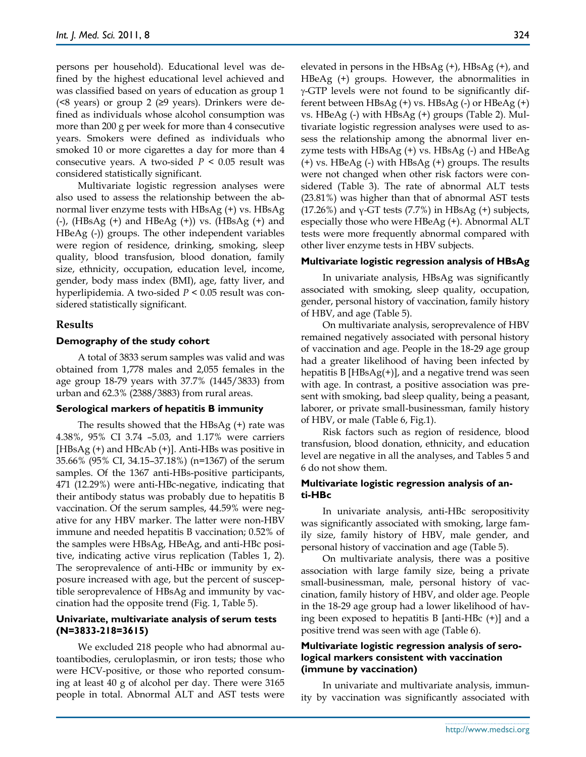persons per household). Educational level was defined by the highest educational level achieved and was classified based on years of education as group 1 ( $\leq 8$  years) or group 2 ( $\geq 9$  years). Drinkers were defined as individuals whose alcohol consumption was more than 200 g per week for more than 4 consecutive years. Smokers were defined as individuals who smoked 10 or more cigarettes a day for more than 4 consecutive years. A two-sided  $P < 0.05$  result was considered statistically significant.

Multivariate logistic regression analyses were also used to assess the relationship between the abnormal liver enzyme tests with HBsAg (+) vs. HBsAg (-), (HBsAg (+) and HBeAg (+)) vs. (HBsAg (+) and HBeAg (-)) groups. The other independent variables were region of residence, drinking, smoking, sleep quality, blood transfusion, blood donation, family size, ethnicity, occupation, education level, income, gender, body mass index (BMI), age, fatty liver, and hyperlipidemia. A two-sided *P* < 0.05 result was considered statistically significant.

## **Results**

#### **Demography of the study cohort**

A total of 3833 serum samples was valid and was obtained from 1,778 males and 2,055 females in the age group 18-79 years with 37.7% (1445/3833) from urban and 62.3% (2388/3883) from rural areas.

#### **Serological markers of hepatitis B immunity**

The results showed that the HBsAg (+) rate was 4.38%, 95% CI 3.74 –5.03, and 1.17% were carriers [HBsAg (+) and HBcAb (+)]. Anti-HBs was positive in 35.66% (95% CI, 34.15–37.18%) (n=1367) of the serum samples. Of the 1367 anti-HBs-positive participants, 471 (12.29%) were anti-HBc-negative, indicating that their antibody status was probably due to hepatitis B vaccination. Of the serum samples, 44.59% were negative for any HBV marker. The latter were non-HBV immune and needed hepatitis B vaccination; 0.52% of the samples were HBsAg, HBeAg, and anti-HBc positive, indicating active virus replication (Tables 1, 2). The seroprevalence of anti-HBc or immunity by exposure increased with age, but the percent of susceptible seroprevalence of HBsAg and immunity by vaccination had the opposite trend (Fig. 1, Table 5).

#### **Univariate, multivariate analysis of serum tests (N=3833-218=3615)**

We excluded 218 people who had abnormal autoantibodies, ceruloplasmin, or iron tests; those who were HCV-positive, or those who reported consuming at least 40 g of alcohol per day. There were 3165 people in total. Abnormal ALT and AST tests were elevated in persons in the HBsAg (+), HBsAg (+), and HBeAg (+) groups. However, the abnormalities in  $\gamma$ -GTP levels were not found to be significantly different between HBsAg (+) vs. HBsAg (-) or HBeAg (+) vs. HBeAg (-) with HBsAg (+) groups (Table 2). Multivariate logistic regression analyses were used to assess the relationship among the abnormal liver enzyme tests with  $HBSAg$  (+) vs.  $HBsAg$  (-) and  $HBeAg$ (+) vs. HBeAg (-) with HBsAg (+) groups. The results were not changed when other risk factors were considered (Table 3). The rate of abnormal ALT tests (23.81%) was higher than that of abnormal AST tests (17.26%) and  $\gamma$ -GT tests (7.7%) in HBsAg (+) subjects, especially those who were HBeAg (+). Abnormal ALT tests were more frequently abnormal compared with other liver enzyme tests in HBV subjects.

#### **Multivariate logistic regression analysis of HBsAg**

In univariate analysis, HBsAg was significantly associated with smoking, sleep quality, occupation, gender, personal history of vaccination, family history of HBV, and age (Table 5).

On multivariate analysis, seroprevalence of HBV remained negatively associated with personal history of vaccination and age. People in the 18-29 age group had a greater likelihood of having been infected by hepatitis B [HBsAg(+)], and a negative trend was seen with age. In contrast, a positive association was present with smoking, bad sleep quality, being a peasant, laborer, or private small-businessman, family history of HBV, or male (Table 6, Fig.1).

Risk factors such as region of residence, blood transfusion, blood donation, ethnicity, and education level are negative in all the analyses, and Tables 5 and 6 do not show them.

#### **Multivariate logistic regression analysis of anti-HBc**

In univariate analysis, anti-HBc seropositivity was significantly associated with smoking, large family size, family history of HBV, male gender, and personal history of vaccination and age (Table 5).

On multivariate analysis, there was a positive association with large family size, being a private small-businessman, male, personal history of vaccination, family history of HBV, and older age. People in the 18-29 age group had a lower likelihood of having been exposed to hepatitis B [anti-HBc (+)] and a positive trend was seen with age (Table 6).

## **Multivariate logistic regression analysis of serological markers consistent with vaccination (immune by vaccination)**

In univariate and multivariate analysis, immunity by vaccination was significantly associated with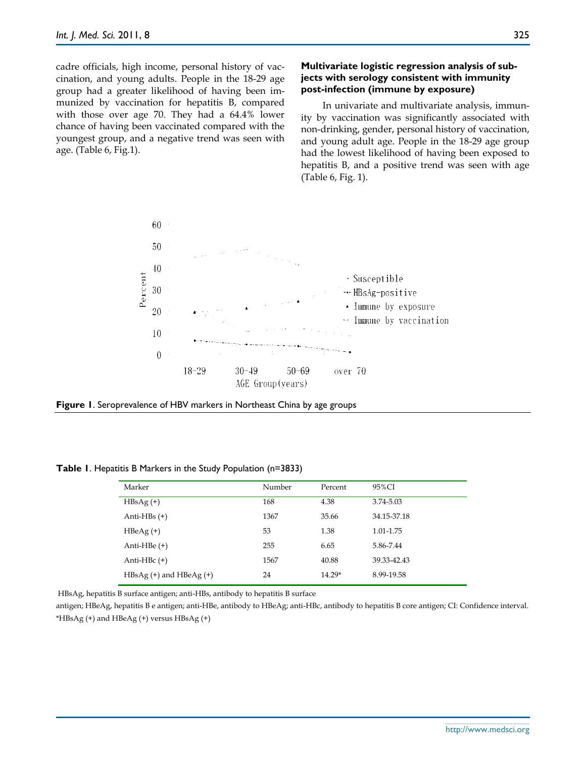cadre officials, high income, personal history of vaccination, and young adults. People in the 18-29 age group had a greater likelihood of having been immunized by vaccination for hepatitis B, compared with those over age 70. They had a 64.4% lower chance of having been vaccinated compared with the youngest group, and a negative trend was seen with age. (Table 6, Fig.1).

## **Multivariate logistic regression analysis of subjects with serology consistent with immunity post-infection (immune by exposure)**

In univariate and multivariate analysis, immunity by vaccination was significantly associated with non-drinking, gender, personal history of vaccination, and young adult age. People in the 18-29 age group had the lowest likelihood of having been exposed to hepatitis B, and a positive trend was seen with age (Table 6, Fig. 1).





Marker 195%CI (Number Percent 195%CI HBsAg (+) 168 4.38 3.74-5.03 Anti-HBs (+) 1367 35.66 34.15-37.18 HBeAg (+) 53 1.38 1.01-1.75 Anti-HBe (+) 255 6.65 5.86-7.44 Anti-HBc (+) 1567 40.88 39.33-42.43

HBsAg (+) and HBeAg (+) 24 14.29\* 8.99-19.58

**Table 1**. Hepatitis B Markers in the Study Population (n=3833)

HBsAg, hepatitis B surface antigen; anti-HBs, antibody to hepatitis B surface

antigen; HBeAg, hepatitis B e antigen; anti-HBe, antibody to HBeAg; anti-HBc, antibody to hepatitis B core antigen; CI: Confidence interval. \*HBsAg (+) and HBeAg (+) versus HBsAg (+)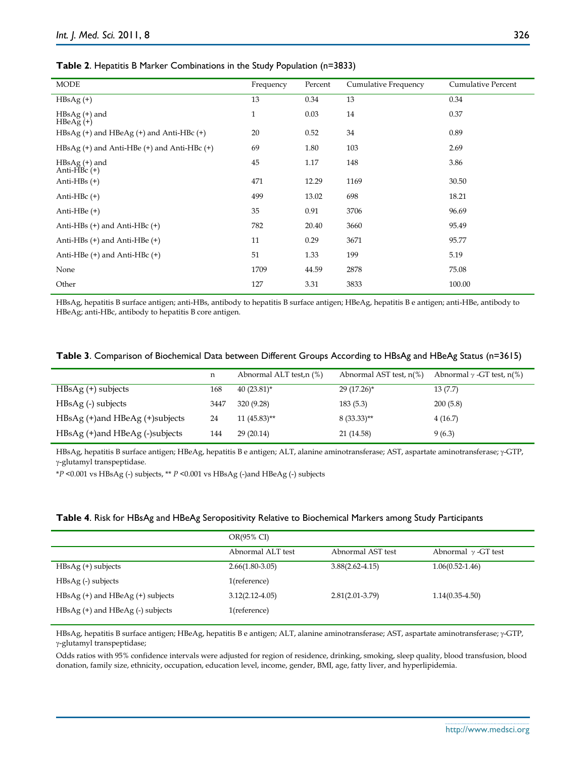#### **Table 2**. Hepatitis B Marker Combinations in the Study Population (n=3833)

| <b>MODE</b>                                            | Frequency    | Percent | Cumulative Frequency | <b>Cumulative Percent</b> |
|--------------------------------------------------------|--------------|---------|----------------------|---------------------------|
| $HBsAg (+)$                                            | 13           | 0.34    | 13                   | 0.34                      |
| HBsAg (+) and<br>$HBeAg (+)$                           | $\mathbf{1}$ | 0.03    | 14                   | 0.37                      |
| $HBsAg$ (+) and $HBeAg$ (+) and Anti-HBc (+)           | 20           | 0.52    | 34                   | 0.89                      |
| $HBsAg$ (+) and Anti-HBe (+) and Anti-HBc (+)          | 69           | 1.80    | 103                  | 2.69                      |
| $HBsAg (+)$ and<br>Anti-H $\overrightarrow{B}$ c $(+)$ | 45           | 1.17    | 148                  | 3.86                      |
| Anti-HBs $(+)$                                         | 471          | 12.29   | 1169                 | 30.50                     |
| Anti-H $Bc$ (+)                                        | 499          | 13.02   | 698                  | 18.21                     |
| Anti-HBe $(+)$                                         | 35           | 0.91    | 3706                 | 96.69                     |
| Anti-HBs $(+)$ and Anti-HBc $(+)$                      | 782          | 20.40   | 3660                 | 95.49                     |
| Anti-HBs $(+)$ and Anti-HBe $(+)$                      | 11           | 0.29    | 3671                 | 95.77                     |
| Anti-HBe $(+)$ and Anti-HBc $(+)$                      | 51           | 1.33    | 199                  | 5.19                      |
| None                                                   | 1709         | 44.59   | 2878                 | 75.08                     |
| Other                                                  | 127          | 3.31    | 3833                 | 100.00                    |

HBsAg, hepatitis B surface antigen; anti-HBs, antibody to hepatitis B surface antigen; HBeAg, hepatitis B e antigen; anti-HBe, antibody to HBeAg; anti-HBc, antibody to hepatitis B core antigen.

|  | Table 3. Comparison of Biochemical Data between Different Groups According to HBsAg and HBeAg Status (n=3615) |  |  |  |  |
|--|---------------------------------------------------------------------------------------------------------------|--|--|--|--|
|  |                                                                                                               |  |  |  |  |

|                                    | n    | Abnormal ALT test, n (%) | Abnormal AST test, $n\%$ | Abnormal $\gamma$ -GT test, n(%) |
|------------------------------------|------|--------------------------|--------------------------|----------------------------------|
| $HBsAg$ (+) subjects               | 168  | $40(23.81)^*$            | $29(17.26)^*$            | 13(7.7)                          |
| HBsAg (-) subjects                 | 3447 | 320 (9.28)               | 183(5.3)                 | 200(5.8)                         |
| $HBsAg$ (+)and $HBeAg$ (+)subjects | 24   | $11(45.83)$ **           | $8(33.33)$ **            | 4(16.7)                          |
| $HBsAg$ (+)and $HBeAg$ (-)subjects | 144  | 29(20.14)                | 21 (14.58)               | 9(6.3)                           |

HBsAg, hepatitis B surface antigen; HBeAg, hepatitis B e antigen; ALT, alanine aminotransferase; AST, aspartate aminotransferase;  $\gamma$ -GTP, -glutamyl transpeptidase.

\**P* <0.001 vs HBsAg (-) subjects, \*\* *P* <0.001 vs HBsAg (-)and HBeAg (-) subjects

|  | Table 4. Risk for HBsAg and HBeAg Seropositivity Relative to Biochemical Markers among Study Participants |
|--|-----------------------------------------------------------------------------------------------------------|
|--|-----------------------------------------------------------------------------------------------------------|

| OR(95% CI)          |                     |                            |
|---------------------|---------------------|----------------------------|
| Abnormal ALT test   | Abnormal AST test   | Abnormal $\gamma$ -GT test |
| $2.66(1.80-3.05)$   | $3.88(2.62 - 4.15)$ | $1.06(0.52 - 1.46)$        |
| 1(reference)        |                     |                            |
| $3.12(2.12 - 4.05)$ | $2.81(2.01 - 3.79)$ | $1.14(0.35-4.50)$          |
| 1(reference)        |                     |                            |
|                     |                     |                            |

HBsAg, hepatitis B surface antigen; HBeAg, hepatitis B e antigen; ALT, alanine aminotransferase; AST, aspartate aminotransferase;  $\gamma$ -GTP, -glutamyl transpeptidase;

Odds ratios with 95% confidence intervals were adjusted for region of residence, drinking, smoking, sleep quality, blood transfusion, blood donation, family size, ethnicity, occupation, education level, income, gender, BMI, age, fatty liver, and hyperlipidemia.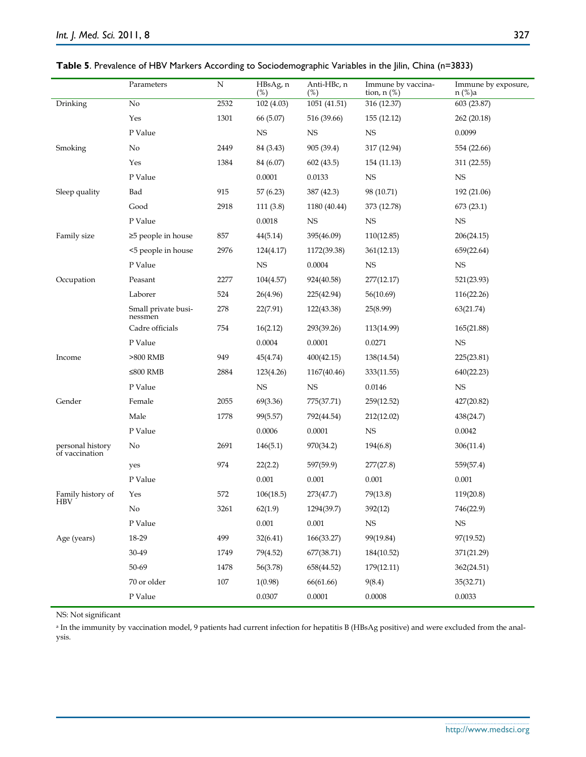|                                      | Parameters                     | N       | HBsAg, n<br>$(\%)$ | Anti-HBc, n<br>$(\%)$ | Immune by vaccina-<br>tion, $n$ $(\%)$ | Immune by exposure,<br>n (%)a |
|--------------------------------------|--------------------------------|---------|--------------------|-----------------------|----------------------------------------|-------------------------------|
| Drinking                             | $\rm No$                       | 2532    | 102 (4.03)         | 1051 (41.51)          | 316 (12.37)                            | 603 (23.87)                   |
|                                      | Yes                            | 1301    | 66 (5.07)          | 516 (39.66)           | 155 (12.12)                            | 262 (20.18)                   |
|                                      | P Value                        |         | <b>NS</b>          | <b>NS</b>             | $_{\rm NS}$                            | 0.0099                        |
| Smoking                              | No                             | 2449    | 84 (3.43)          | 905 (39.4)            | 317 (12.94)                            | 554 (22.66)                   |
|                                      | Yes                            | 1384    | 84 (6.07)          | 602(43.5)             | 154 (11.13)                            | 311 (22.55)                   |
|                                      | P Value                        |         | 0.0001             | 0.0133                | NS                                     | NS                            |
| Sleep quality                        | Bad                            | 915     | 57 (6.23)          | 387 (42.3)            | 98 (10.71)                             | 192 (21.06)                   |
|                                      | Good                           | 2918    | 111(3.8)           | 1180 (40.44)          | 373 (12.78)                            | 673 (23.1)                    |
|                                      | P Value                        |         | 0.0018             | $_{\rm NS}$           | <b>NS</b>                              | <b>NS</b>                     |
| Family size                          | ≥5 people in house             | 857     | 44(5.14)           | 395(46.09)            | 110(12.85)                             | 206(24.15)                    |
|                                      | <5 people in house             | 2976    | 124(4.17)          | 1172(39.38)           | 361(12.13)                             | 659(22.64)                    |
|                                      | P Value                        |         | $_{\rm NS}$        | 0.0004                | $_{\rm NS}$                            | NS                            |
| Occupation                           | Peasant                        | 2277    | 104(4.57)          | 924(40.58)            | 277(12.17)                             | 521(23.93)                    |
|                                      | Laborer                        | 524     | 26(4.96)           | 225(42.94)            | 56(10.69)                              | 116(22.26)                    |
|                                      | Small private busi-<br>nessmen | 278     | 22(7.91)           | 122(43.38)            | 25(8.99)                               | 63(21.74)                     |
|                                      | Cadre officials                | 754     | 16(2.12)           | 293(39.26)            | 113(14.99)                             | 165(21.88)                    |
|                                      | P Value                        |         | 0.0004             | 0.0001                | 0.0271                                 | NS                            |
| Income                               | $>800$ RMB                     | 949     | 45(4.74)           | 400(42.15)            | 138(14.54)                             | 225(23.81)                    |
|                                      | $≤800$ RMB                     | 2884    | 123(4.26)          | 1167(40.46)           | 333(11.55)                             | 640(22.23)                    |
|                                      | P Value                        |         | <b>NS</b>          | <b>NS</b>             | 0.0146                                 | NS                            |
| Gender                               | Female                         | 2055    | 69(3.36)           | 775(37.71)            | 259(12.52)                             | 427(20.82)                    |
|                                      | Male                           | 1778    | 99(5.57)           | 792(44.54)            | 212(12.02)                             | 438(24.7)                     |
|                                      | P Value                        |         | 0.0006             | 0.0001                | $_{\rm NS}$                            | 0.0042                        |
| personal history<br>of vaccination   | No                             | 2691    | 146(5.1)           | 970(34.2)             | 194(6.8)                               | 306(11.4)                     |
|                                      | yes                            | 974     | 22(2.2)            | 597(59.9)             | 277(27.8)                              | 559(57.4)                     |
|                                      | P Value                        |         | 0.001              | 0.001                 | 0.001                                  | 0.001                         |
| Family history of<br>HB <sub>V</sub> | Yes                            | 572     | 106(18.5)          | 273(47.7)             | 79(13.8)                               | 119(20.8)                     |
|                                      | $\rm No$                       | 3261    | 62(1.9)            | 1294(39.7)            | 392(12)                                | 746(22.9)                     |
|                                      | P Value                        |         | 0.001              | 0.001                 | $_{\rm NS}$                            | $_{\rm NS}$                   |
| Age (years)                          | $18 - 29$                      | 499     | 32(6.41)           | 166(33.27)            | 99(19.84)                              | 97(19.52)                     |
|                                      | 30-49                          | 1749    | 79(4.52)           | 677(38.71)            | 184(10.52)                             | 371(21.29)                    |
|                                      | 50-69                          | 1478    | 56(3.78)           | 658(44.52)            | 179(12.11)                             | 362(24.51)                    |
|                                      | 70 or older                    | $107\,$ | 1(0.98)            | 66(61.66)             | 9(8.4)                                 | 35(32.71)                     |
|                                      | P Value                        |         | 0.0307             | $0.0001\,$            | 0.0008                                 | 0.0033                        |

|  |  | Table 5. Prevalence of HBV Markers According to Sociodemographic Variables in the Jilin, China (n=3833) |
|--|--|---------------------------------------------------------------------------------------------------------|
|--|--|---------------------------------------------------------------------------------------------------------|

NS: Not significant

<sup>a</sup> In the immunity by vaccination model, 9 patients had current infection for hepatitis B (HBsAg positive) and were excluded from the analysis.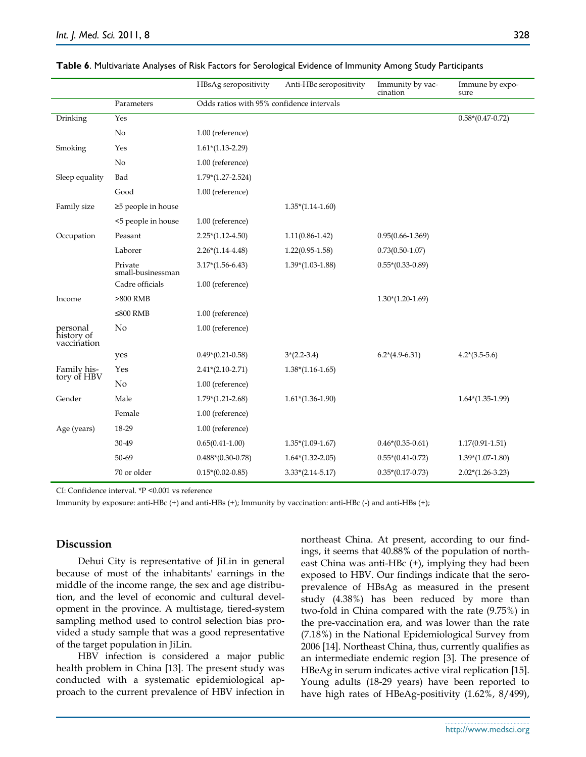|                                       |                              | HBsAg seropositivity | Anti-HBc seropositivity                   | Immunity by vac-<br>cination | Immune by expo-<br>sure |  |  |
|---------------------------------------|------------------------------|----------------------|-------------------------------------------|------------------------------|-------------------------|--|--|
|                                       | Parameters                   |                      | Odds ratios with 95% confidence intervals |                              |                         |  |  |
| Drinking                              | Yes                          |                      |                                           |                              | $0.58*(0.47-0.72)$      |  |  |
|                                       | No                           | 1.00 (reference)     |                                           |                              |                         |  |  |
| Smoking                               | Yes                          | $1.61*(1.13-2.29)$   |                                           |                              |                         |  |  |
|                                       | No                           | 1.00 (reference)     |                                           |                              |                         |  |  |
| Sleep equality                        | Bad                          | $1.79*(1.27-2.524)$  |                                           |                              |                         |  |  |
|                                       | Good                         | 1.00 (reference)     |                                           |                              |                         |  |  |
| Family size                           | $\geq$ 5 people in house     |                      | $1.35*(1.14-1.60)$                        |                              |                         |  |  |
|                                       | <5 people in house           | 1.00 (reference)     |                                           |                              |                         |  |  |
| Occupation                            | Peasant                      | $2.25*(1.12-4.50)$   | $1.11(0.86 - 1.42)$                       | $0.95(0.66 - 1.369)$         |                         |  |  |
|                                       | Laborer                      | $2.26*(1.14-4.48)$   | $1.22(0.95 - 1.58)$                       | $0.73(0.50-1.07)$            |                         |  |  |
|                                       | Private<br>small-businessman | $3.17*(1.56-6.43)$   | $1.39*(1.03-1.88)$                        | $0.55*(0.33-0.89)$           |                         |  |  |
|                                       | Cadre officials              | 1.00 (reference)     |                                           |                              |                         |  |  |
| Income                                | $>800$ RMB                   |                      |                                           | $1.30*(1.20-1.69)$           |                         |  |  |
|                                       | $≤800$ RMB                   | 1.00 (reference)     |                                           |                              |                         |  |  |
| personal<br>history of<br>vaccination | No                           | 1.00 (reference)     |                                           |                              |                         |  |  |
|                                       | yes                          | $0.49*(0.21-0.58)$   | $3*(2.2-3.4)$                             | $6.2*(4.9-6.31)$             | $4.2*(3.5-5.6)$         |  |  |
| Family his-                           | Yes                          | $2.41*(2.10-2.71)$   | $1.38*(1.16-1.65)$                        |                              |                         |  |  |
| tory of HBV                           | No                           | 1.00 (reference)     |                                           |                              |                         |  |  |
| Gender                                | Male                         | $1.79*(1.21-2.68)$   | $1.61*(1.36-1.90)$                        |                              | $1.64*(1.35-1.99)$      |  |  |
|                                       | Female                       | 1.00 (reference)     |                                           |                              |                         |  |  |
| Age (years)                           | 18-29                        | 1.00 (reference)     |                                           |                              |                         |  |  |
|                                       | 30-49                        | $0.65(0.41 - 1.00)$  | $1.35*(1.09-1.67)$                        | $0.46*(0.35-0.61)$           | $1.17(0.91 - 1.51)$     |  |  |
|                                       | 50-69                        | $0.488*(0.30-0.78)$  | $1.64*(1.32-2.05)$                        | $0.55*(0.41-0.72)$           | $1.39*(1.07-1.80)$      |  |  |
|                                       | 70 or older                  | $0.15*(0.02-0.85)$   | $3.33*(2.14-5.17)$                        | $0.35*(0.17-0.73)$           | $2.02*(1.26-3.23)$      |  |  |

|  |  |  | Table 6. Multivariate Analyses of Risk Factors for Serological Evidence of Immunity Among Study Participants |  |  |  |  |  |  |
|--|--|--|--------------------------------------------------------------------------------------------------------------|--|--|--|--|--|--|
|--|--|--|--------------------------------------------------------------------------------------------------------------|--|--|--|--|--|--|

CI: Confidence interval. \*P <0.001 vs reference

Immunity by exposure: anti-HBc (+) and anti-HBs (+); Immunity by vaccination: anti-HBc (-) and anti-HBs (+);

## **Discussion**

Dehui City is representative of JiLin in general because of most of the inhabitants' earnings in the middle of the income range, the sex and age distribution, and the level of economic and cultural development in the province. A multistage, tiered-system sampling method used to control selection bias provided a study sample that was a good representative of the target population in JiLin.

HBV infection is considered a major public health problem in China [13]. The present study was conducted with a systematic epidemiological approach to the current prevalence of HBV infection in northeast China. At present, according to our findings, it seems that 40.88% of the population of northeast China was anti-HBc (+), implying they had been exposed to HBV. Our findings indicate that the seroprevalence of HBsAg as measured in the present study (4.38%) has been reduced by more than two-fold in China compared with the rate (9.75%) in the pre-vaccination era, and was lower than the rate (7.18%) in the National Epidemiological Survey from 2006 [14]. Northeast China, thus, currently qualifies as an intermediate endemic region [3]. The presence of HBeAg in serum indicates active viral replication [15]. Young adults (18-29 years) have been reported to have high rates of HBeAg-positivity (1.62%, 8/499),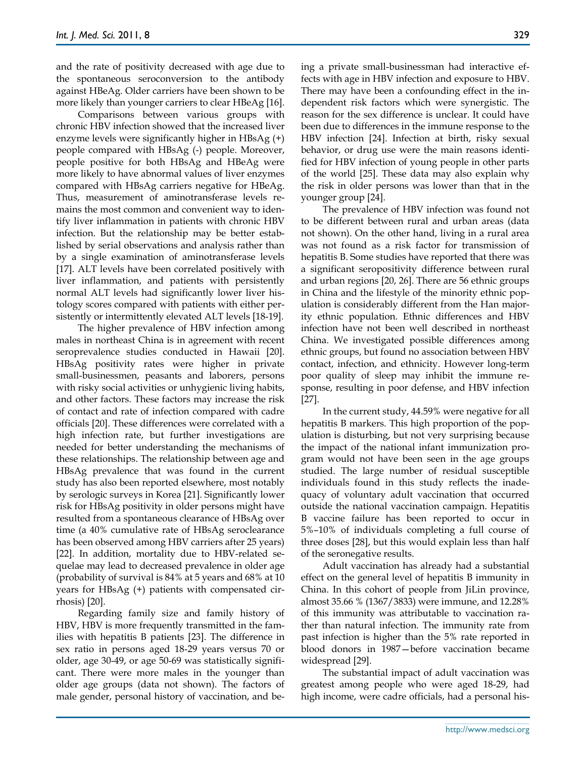and the rate of positivity decreased with age due to the spontaneous seroconversion to the antibody against HBeAg. Older carriers have been shown to be more likely than younger carriers to clear HBeAg [16].

Comparisons between various groups with chronic HBV infection showed that the increased liver enzyme levels were significantly higher in HBsAg (+) people compared with HBsAg (-) people. Moreover, people positive for both HBsAg and HBeAg were more likely to have abnormal values of liver enzymes compared with HBsAg carriers negative for HBeAg. Thus, measurement of aminotransferase levels remains the most common and convenient way to identify liver inflammation in patients with chronic HBV infection. But the relationship may be better established by serial observations and analysis rather than by a single examination of aminotransferase levels [17]. ALT levels have been correlated positively with liver inflammation, and patients with persistently normal ALT levels had significantly lower liver histology scores compared with patients with either persistently or intermittently elevated ALT levels [18-19].

The higher prevalence of HBV infection among males in northeast China is in agreement with recent seroprevalence studies conducted in Hawaii [20]. HBsAg positivity rates were higher in private small-businessmen, peasants and laborers, persons with risky social activities or unhygienic living habits, and other factors. These factors may increase the risk of contact and rate of infection compared with cadre officials [20]. These differences were correlated with a high infection rate, but further investigations are needed for better understanding the mechanisms of these relationships. The relationship between age and HBsAg prevalence that was found in the current study has also been reported elsewhere, most notably by serologic surveys in Korea [21]. Significantly lower risk for HBsAg positivity in older persons might have resulted from a spontaneous clearance of HBsAg over time (a 40% cumulative rate of HBsAg seroclearance has been observed among HBV carriers after 25 years) [22]. In addition, mortality due to HBV-related sequelae may lead to decreased prevalence in older age (probability of survival is 84% at 5 years and 68% at 10 years for HBsAg (+) patients with compensated cirrhosis) [20].

Regarding family size and family history of HBV, HBV is more frequently transmitted in the families with hepatitis B patients [23]. The difference in sex ratio in persons aged 18-29 years versus 70 or older, age 30-49, or age 50-69 was statistically significant. There were more males in the younger than older age groups (data not shown). The factors of male gender, personal history of vaccination, and being a private small-businessman had interactive effects with age in HBV infection and exposure to HBV. There may have been a confounding effect in the independent risk factors which were synergistic. The reason for the sex difference is unclear. It could have been due to differences in the immune response to the HBV infection [24]. Infection at birth, risky sexual behavior, or drug use were the main reasons identified for HBV infection of young people in other parts of the world [25]. These data may also explain why the risk in older persons was lower than that in the younger group [24].

The prevalence of HBV infection was found not to be different between rural and urban areas (data not shown). On the other hand, living in a rural area was not found as a risk factor for transmission of hepatitis B. Some studies have reported that there was a significant seropositivity difference between rural and urban regions [20, 26]. There are 56 ethnic groups in China and the lifestyle of the minority ethnic population is considerably different from the Han majority ethnic population. Ethnic differences and HBV infection have not been well described in northeast China. We investigated possible differences among ethnic groups, but found no association between HBV contact, infection, and ethnicity. However long-term poor quality of sleep may inhibit the immune response, resulting in poor defense, and HBV infection [27].

In the current study, 44.59% were negative for all hepatitis B markers. This high proportion of the population is disturbing, but not very surprising because the impact of the national infant immunization program would not have been seen in the age groups studied. The large number of residual susceptible individuals found in this study reflects the inadequacy of voluntary adult vaccination that occurred outside the national vaccination campaign. Hepatitis B vaccine failure has been reported to occur in 5%–10% of individuals completing a full course of three doses [28], but this would explain less than half of the seronegative results.

Adult vaccination has already had a substantial effect on the general level of hepatitis B immunity in China. In this cohort of people from JiLin province, almost 35.66 % (1367/3833) were immune, and 12.28% of this immunity was attributable to vaccination rather than natural infection. The immunity rate from past infection is higher than the 5% rate reported in blood donors in 1987—before vaccination became widespread [29].

The substantial impact of adult vaccination was greatest among people who were aged 18-29, had high income, were cadre officials, had a personal his-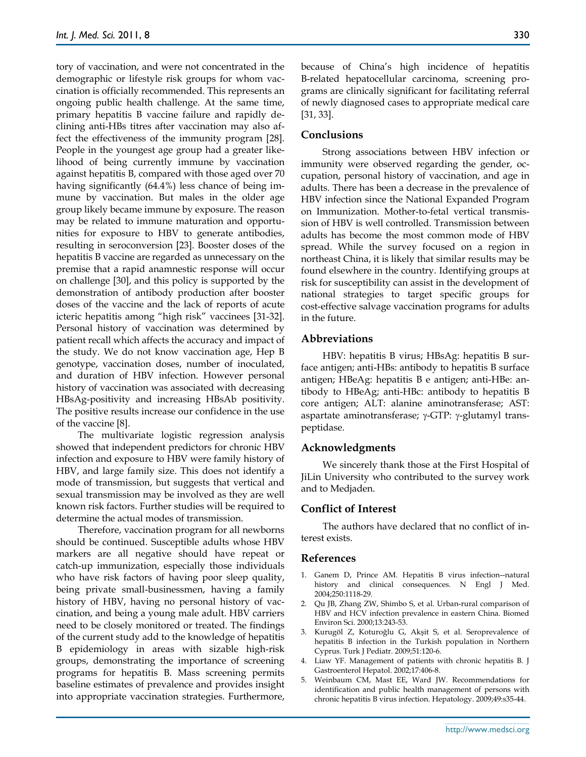tory of vaccination, and were not concentrated in the demographic or lifestyle risk groups for whom vaccination is officially recommended. This represents an ongoing public health challenge. At the same time, primary hepatitis B vaccine failure and rapidly declining anti-HBs titres after vaccination may also affect the effectiveness of the immunity program [28]. People in the youngest age group had a greater likelihood of being currently immune by vaccination against hepatitis B, compared with those aged over 70 having significantly (64.4%) less chance of being immune by vaccination. But males in the older age group likely became immune by exposure. The reason may be related to immune maturation and opportunities for exposure to HBV to generate antibodies, resulting in seroconversion [23]. Booster doses of the hepatitis B vaccine are regarded as unnecessary on the premise that a rapid anamnestic response will occur on challenge [30], and this policy is supported by the demonstration of antibody production after booster doses of the vaccine and the lack of reports of acute icteric hepatitis among "high risk" vaccinees [31-32]. Personal history of vaccination was determined by patient recall which affects the accuracy and impact of the study. We do not know vaccination age, Hep B genotype, vaccination doses, number of inoculated, and duration of HBV infection. However personal history of vaccination was associated with decreasing HBsAg-positivity and increasing HBsAb positivity. The positive results increase our confidence in the use of the vaccine [8].

The multivariate logistic regression analysis showed that independent predictors for chronic HBV infection and exposure to HBV were family history of HBV, and large family size. This does not identify a mode of transmission, but suggests that vertical and sexual transmission may be involved as they are well known risk factors. Further studies will be required to determine the actual modes of transmission.

Therefore, vaccination program for all newborns should be continued. Susceptible adults whose HBV markers are all negative should have repeat or catch-up immunization, especially those individuals who have risk factors of having poor sleep quality, being private small-businessmen, having a family history of HBV, having no personal history of vaccination, and being a young male adult. HBV carriers need to be closely monitored or treated. The findings of the current study add to the knowledge of hepatitis B epidemiology in areas with sizable high-risk groups, demonstrating the importance of screening programs for hepatitis B. Mass screening permits baseline estimates of prevalence and provides insight into appropriate vaccination strategies. Furthermore, because of China's high incidence of hepatitis B-related hepatocellular carcinoma, screening programs are clinically significant for facilitating referral of newly diagnosed cases to appropriate medical care [31, 33].

## **Conclusions**

Strong associations between HBV infection or immunity were observed regarding the gender, occupation, personal history of vaccination, and age in adults. There has been a decrease in the prevalence of HBV infection since the National Expanded Program on Immunization. Mother-to-fetal vertical transmission of HBV is well controlled. Transmission between adults has become the most common mode of HBV spread. While the survey focused on a region in northeast China, it is likely that similar results may be found elsewhere in the country. Identifying groups at risk for susceptibility can assist in the development of national strategies to target specific groups for cost-effective salvage vaccination programs for adults in the future.

## **Abbreviations**

HBV: hepatitis B virus; HBsAg: hepatitis B surface antigen; anti-HBs: antibody to hepatitis B surface antigen; HBeAg: hepatitis B e antigen; anti-HBe: antibody to HBeAg; anti-HBc: antibody to hepatitis B core antigen; ALT: alanine aminotransferase; AST: aspartate aminotransferase;  $\gamma$ -GTP:  $\gamma$ -glutamyl transpeptidase.

## **Acknowledgments**

We sincerely thank those at the First Hospital of JiLin University who contributed to the survey work and to [Medjaden.](mailto:medjaden@gmail.com)

## **Conflict of Interest**

The authors have declared that no conflict of interest exists.

#### **References**

- 1. [Ganem D,](http://www.ncbi.nlm.nih.gov/pubmed?term=%22Ganem%20D%22%5BAuthor%5D) [Prince AM.](http://www.ncbi.nlm.nih.gov/pubmed?term=%22Prince%20AM%22%5BAuthor%5D) Hepatitis B virus infection--natural history and clinical consequences. N Engl J Med. 2004;250:1118-29.
- 2. [Qu JB,](http://www.ncbi.nlm.nih.gov/pubmed?term=%22Qu%20JB%22%5BAuthor%5D) [Zhang ZW,](http://www.ncbi.nlm.nih.gov/pubmed?term=%22Zhang%20ZW%22%5BAuthor%5D) [Shimbo S,](http://www.ncbi.nlm.nih.gov/pubmed?term=%22Shimbo%20S%22%5BAuthor%5D) et al. Urban-rural comparison of HBV and HCV infection prevalence in eastern China. Biomed Environ Sci. 2000;13:243-53.
- 3. [Kurugöl Z,](http://www.ncbi.nlm.nih.gov/pubmed?term=%22Kurug%C3%B6l%20Z%22%5BAuthor%5D) [Koturoğlu G](http://www.ncbi.nlm.nih.gov/pubmed?term=%22Koturo%C4%9Flu%20G%22%5BAuthor%5D), [Akşit S](http://www.ncbi.nlm.nih.gov/pubmed?term=%22Ak%C5%9Fit%20S%22%5BAuthor%5D), et al. Seroprevalence of hepatitis B infection in the Turkish population in Northern Cyprus. Turk J Pediatr. 2009;51:120-6.
- 4. Liaw YF. Management of patients with chronic hepatitis B. J Gastroenterol Hepatol. 2002;17:406-8.
- 5. [Weinbaum CM,](http://www.ncbi.nlm.nih.gov/pubmed?term=%22Weinbaum%20CM%22%5BAuthor%5D) [Mast EE,](http://www.ncbi.nlm.nih.gov/pubmed?term=%22Mast%20EE%22%5BAuthor%5D) [Ward JW.](http://www.ncbi.nlm.nih.gov/pubmed?term=%22Ward%20JW%22%5BAuthor%5D) Recommendations for identification and public health management of persons with chronic hepatitis B virus infection. Hepatology. 2009;49:s35-44.